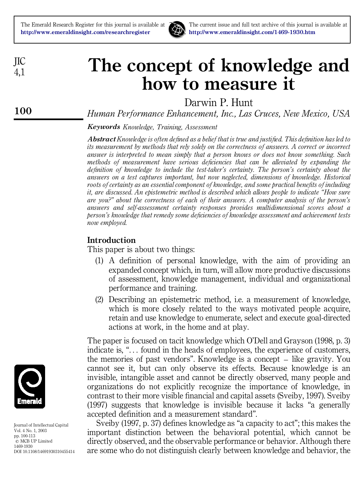

**100**

# **The concept of knowledge and how to measure it**

Darwin P. Hunt

*Human Performance Enhancement, Inc., Las Cruces, New Mexico, USA*

*Keywords Knowledge, Training, Assessment*

**Abstract** Knowledge is often defined as a belief that is true and justified. This definition has led to *its measurement by methods that rely solely on the correctness of answers. A correct or incorrect answer is interpreted to mean simply that a person knows or does not know something. Such methods of measurement have serious de®ciencies that can be alleviated by expanding the de®nition of knowledge to include the test-taker's certainty. The person's certainty about the answers on a test captures important, but now neglected, dimensions of knowledge. Historical roots of certainty as an essential component of knowledge, and some practical bene®ts of including it, are discussed. An epistemetric method is described which allows people to indicate ªHow sure are you?º about the correctness of each of their answers. A computer analysis of the person's answers and self-assessment certainty responses provides multidimensional scores about a person's knowledge that remedy some de®ciencies of knowledge assessment and achievement tests now employed.*

# **Introduction**

This paper is about two things:

- $(1)$  A definition of personal knowledge, with the aim of providing an expanded concept which, in turn, will allow more productive discussions of assessment, knowledge management, individual and organizational performance and training.
- (2) Describing an epistemetric method, i.e. a measurement of knowledge, which is more closely related to the ways motivated people acquire, retain and use knowledge to enumerate, select and execute goal-directed actions at work, in the home and at play.

The paper is focused on tacit knowledge which O'Dell and Grayson (1998, p. 3) indicate is, "... found in the heads of employees, the experience of customers, the memories of past vendorsº. Knowledge is a concept – like gravity. You cannot see it, but can only observe its effects. Because knowledge is an invisible, intangible asset and cannot be directly observed, many people and organizations do not explicitly recognize the importance of knowledge, in contrast to their more visible financial and capital assets (Sveiby, 1997). Sveiby (1997) suggests that knowledge is invisible because it lacks ªa generally accepted definition and a measurement standard".

Sveiby (1997, p. 37) defines knowledge as "a capacity to act"; this makes the important distinction between the behavioral potential, which cannot be directly observed, and the observable performance or behavior. Although there are some who do not distinguish clearly between knowledge and behavior, the



Journal of Intellectual Capital Vol. 4 No. 1, 2003 pp. 100-113  $©$  MCB UP Limited 1469-1930 DOI 10.1108/14691930310455414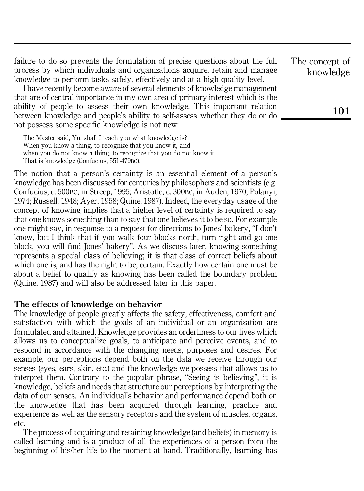failure to do so prevents the formulation of precise questions about the full process by which individuals and organizations acquire, retain and manage knowledge to perform tasks safely, effectively and at a high quality level.

I have recently become aware of several elements of knowledge management that are of central importance in my own area of primary interest which is the ability of people to assess their own knowledge. This important relation between knowledge and people's ability to self-assess whether they do or do not possess some specific knowledge is not new:

The Master said, Yu, shall I teach you what knowledge is? When you know athing, to recognize that you know it, and when you do not know a thing, to recognize that you do not know it. That is knowledge (Confucius, 551-479BC).

The notion that a person's certainty is an essential element of a person's knowledge has been discussed for centuries by philosophers and scientists (e.g. Confucius, c. 500BC, in Streep, 1995; Aristotle, c. 300BC, in Auden, 1970; Polanyi, 1974; Russell, 1948; Ayer, 1958; Quine, 1987). Indeed, the everyday usage of the concept of knowing implies that a higher level of certainty is required to say that one knows something than to say that one believes it to be so. For example one might say, in response to a request for directions to Jones' bakery, ªI don't know, but I think that if you walk four blocks north, turn right and go one block, you will find Jones' bakery". As we discuss later, knowing something represents a special class of believing; it is that class of correct beliefs about which one is, and has the right to be, certain. Exactly how certain one must be about a belief to qualify as knowing has been called the boundary problem (Quine, 1987) and will also be addressed later in this paper.

# **The effects of knowledge on behavior**

The knowledge of people greatly affects the safety, effectiveness, comfort and satisfaction with which the goals of an individual or an organization are formulated and attained. Knowledge provides an orderliness to our lives which allows us to conceptualize goals, to anticipate and perceive events, and to respond in accordance with the changing needs, purposes and desires. For example, our perceptions depend both on the data we receive through our senses (eyes, ears, skin, etc.) and the knowledge we possess that allows us to interpret them. Contrary to the popular phrase, "Seeing is believing", it is knowledge, beliefs and needs that structure our perceptions by interpreting the data of our senses. An individual's behavior and performance depend both on the knowledge that has been acquired through learning, practice and experience as well as the sensory receptors and the system of muscles, organs, etc.

The process of acquiring and retaining knowledge (and beliefs) in memory is called learning and is a product of all the experiences of a person from the beginning of his/her life to the moment at hand. Traditionally, learning has

The concept of knowledge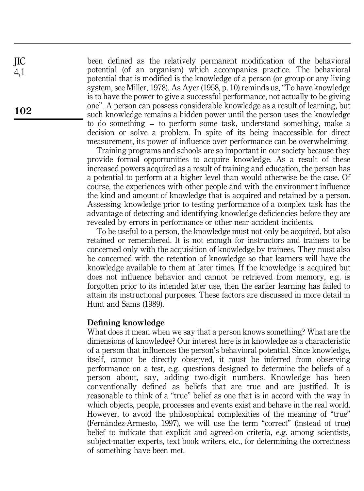been defined as the relatively permanent modification of the behavioral potential (of an organism) which accompanies practice. The behavioral potential that is modified is the knowledge of a person (or group or any living system, see Miller, 1978). As Ayer (1958, p. 10) reminds us, ªTo have knowledge is to have the power to give a successful performance, not actually to be giving oneº. A person can possess considerable knowledge as a result of learning, but such knowledge remains a hidden power until the person uses the knowledge to do something – to perform some task, understand something, make a decision or solve a problem. In spite of its being inaccessible for direct measurement, its power of influence over performance can be overwhelming.

Training programs and schools are so important in our society because they provide formal opportunities to acquire knowledge. As a result of these increased powers acquired as a result of training and education, the person has a potential to perform at a higher level than would otherwise be the case. Of course, the experiences with other people and with the environment influence the kind and amount of knowledge that is acquired and retained by a person. Assessing knowledge prior to testing performance of a complex task has the advantage of detecting and identifying knowledge deficiencies before they are revealed by errors in performance or other near-accident incidents.

To be useful to a person, the knowledge must not only be acquired, but also retained or remembered. It is not enough for instructors and trainers to be concerned only with the acquisition of knowledge by trainees. They must also be concerned with the retention of knowledge so that learners will have the knowledge available to them at later times. If the knowledge is acquired but does not influence behavior and cannot be retrieved from memory, e.g. is forgotten prior to its intended later use, then the earlier learning has failed to attain its instructional purposes. These factors are discussed in more detail in Hunt and Sams (1989).

# **Defining** knowledge

JIC 4,1

**102**

What does it mean when we say that a person knows something? What are the dimensions of knowledge? Our interest here is in knowledge as a characteristic of a person that influences the person's behavioral potential. Since knowledge, itself, cannot be directly observed, it must be inferred from observing performance on a test, e.g. questions designed to determine the beliefs of a person about, say, adding two-digit numbers. Knowledge has been conventionally defined as beliefs that are true and are justified. It is reasonable to think of a "true" belief as one that is in accord with the way in which objects, people, processes and events exist and behave in the real world. However, to avoid the philosophical complexities of the meaning of "true" (Fernández-Armesto, 1997), we will use the term "correct" (instead of true) belief to indicate that explicit and agreed-on criteria, e.g. among scientists, subject-matter experts, text book writers, etc., for determining the correctness of something have been met.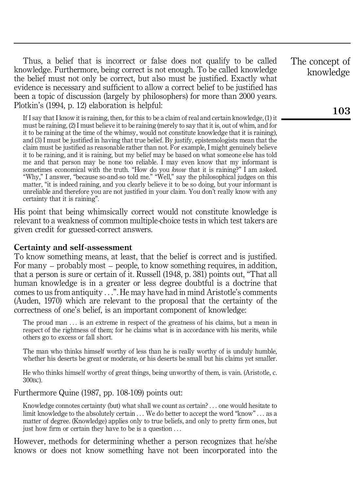Thus, a belief that is incorrect or false does not qualify to be called knowledge. Furthermore, being correct is not enough. To be called knowledge the belief must not only be correct, but also must be justified. Exactly what evidence is necessary and sufficient to allow a correct belief to be justified has been a topic of discussion (largely by philosophers) for more than 2000 years. Plotkin's (1994, p. 12) elaboration is helpful:

If I say that I know it is raining, then, for this to be a claim of real and certain knowledge, (1) it must be raining, (2) I must believe it to be raining (merely to say that it is, out of whim, and for it to be raining at the time of the whimsy, would not constitute knowledge that it is raining), and  $(3)$  I must be justified in having that true belief. By justify, epistemologists mean that the claim must be justified as reasonable rather than not. For example, I might genuinely believe it to be raining, and it is raining, but my belief may be based on what someone else has told me and that person may be none too reliable. I may even know that my informant is sometimes economical with the truth. "How do you *know* that it is raining?" I am asked. ªWhy,º I answer, ªbecause so-and-so told me.º ªWell,º say the philosophical judges on this matter, ªit is indeed raining, and you clearly believe it to be so doing, but your informant is unreliable and therefore you are not justified in your claim. You don't really know with any certainty that it is rainingº.

His point that being whimsically correct would not constitute knowledge is relevant to a weakness of common multiple-choice tests in which test takers are given credit for guessed-correct answers.

# **Certainty and self-assessment**

To know something means, at least, that the belief is correct and is justified. For many – probably most – people, to know something requires, in addition, that a person is sure or certain of it. Russell (1948, p. 381) points out, "That all human knowledge is in a greater or less degree doubtful is a doctrine that comes to us from antiquity . . . ". He may have had in mind Aristotle's comments (Auden, 1970) which are relevant to the proposal that the certainty of the correctness of one's belief, is an important component of knowledge:

The proud man . .. is an extreme in respect of the greatness of his claims, but a mean in respect of the rightness of them; for he claims what is in accordance with his merits, while others go to excess or fall short.

The man who thinks himself worthy of less than he is really worthy of is unduly humble, whether his deserts be great or moderate, or his deserts be small but his claims yet smaller.

He who thinks himself worthy of great things, being unworthy of them, is vain. (Aristotle, c. 300BC).

Furthermore Quine (1987, pp. 108-109) points out:

Knowledge connotes certainty (but) what shall we count as certain? . . . one would hesitate to limit knowledge to the absolutely certain . . . We do better to accept the word ªknowº . . . as a matter of degree. (Knowledge) applies only to true beliefs, and only to pretty firm ones, but just how firm or certain they have to be is a question  $\dots$ 

However, methods for determining whether a person recognizes that he/she knows or does not know something have not been incorporated into the The concept of knowledge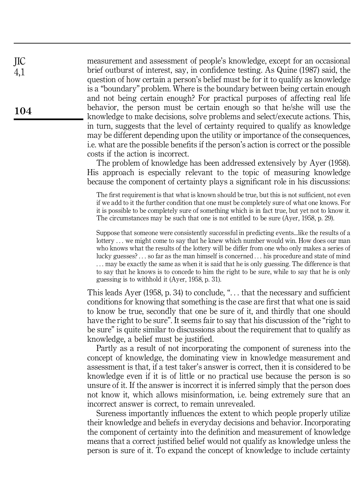measurement and assessment of people's knowledge, except for an occasional brief outburst of interest, say, in confidence testing. As Quine (1987) said, the question of how certain a person's belief must be for it to qualify as knowledge is a ªboundaryº problem. Where is the boundary between being certain enough and not being certain enough? For practical purposes of affecting real life behavior, the person must be certain enough so that he/she will use the knowledge to make decisions, solve problems and select/execute actions. This, in turn, suggests that the level of certainty required to qualify as knowledge may be different depending upon the utility or importance of the consequences, i.e. what are the possible benefits if the person's action is correct or the possible costs if the action is incorrect.

The problem of knowledge has been addressed extensively by Ayer (1958). His approach is especially relevant to the topic of measuring knowledge because the component of certainty plays a significant role in his discussions:

The first requirement is that what is known should be true, but this is not sufficient, not even if we add to it the further condition that one must be completely sure of what one knows. For it is possible to be completely sure of something which is in fact true, but yet not to know it. The circumstances may be such that one is not entitled to be sure (Ayer, 1958, p. 29).

Suppose that someone were consistently successful in predicting events...like the results of a lottery ... we might come to say that he knew which number would win. How does our man who knows what the results of the lottery will be differ from one who only makes a series of lucky guesses? . . . so far as the man himself is concerned . . . his procedure and state of mind . . . may be exactly the same as when it is said that he is only guessing. The difference is that to say that he knows is to concede to him the right to be sure, while to say that he is only guessing is to withhold it (Ayer, 1958, p. 31).

This leads Ayer (1958, p. 34) to conclude, " $\dots$  that the necessary and sufficient conditions for knowing that something is the case are first that what one is said to know be true, secondly that one be sure of it, and thirdly that one should have the right to be sure". It seems fair to say that his discussion of the "right to be sure" is quite similar to discussions about the requirement that to qualify as knowledge, a belief must be justified.

Partly as a result of not incorporating the component of sureness into the concept of knowledge, the dominating view in knowledge measurement and assessment is that, if a test taker's answer is correct, then it is considered to be knowledge even if it is of little or no practical use because the person is so unsure of it. If the answer is incorrect it is inferred simply that the person does not know it, which allows misinformation, i.e. being extremely sure that an incorrect answer is correct, to remain unrevealed.

Sureness importantly influences the extent to which people properly utilize their knowledge and beliefs in everyday decisions and behavior. Incorporating the component of certainty into the definition and measurement of knowledge means that a correct justified belief would not qualify as knowledge unless the person is sure of it. To expand the concept of knowledge to include certainty

JIC 4,1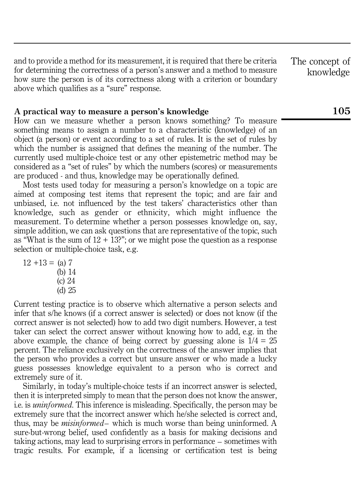and to provide a method for its measurement, it is required that there be criteria for determining the correctness of a person's answer and a method to measure how sure the person is of its correctness along with a criterion or boundary above which qualifies as a "sure" response. The concept of

# **A practical way to measure a person's knowledge**

How can we measure whether a person knows something? To measure something means to assign a number to a characteristic (knowledge) of an object (a person) or event according to a set of rules. It is the set of rules by which the number is assigned that defines the meaning of the number. The currently used multiple-choice test or any other epistemetric method may be considered as a "set of rules" by which the numbers (scores) or measurements are produced - and thus, knowledge may be operationally defined.

Most tests used today for measuring a person's knowledge on a topic are aimed at composing test items that represent the topic; and are fair and unbiased, i.e. not influenced by the test takers' characteristics other than knowledge, such as gender or ethnicity, which might influence the measurement. To determine whether a person possesses knowledge on, say, simple addition, we can ask questions that are representative of the topic, such as "What is the sum of  $12 + 13$ ?"; or we might pose the question as a response selection or multiple-choice task, e.g.

 $12 + 13 = (a) 7$ (b) 14 (c) 24 (d) 25

Current testing practice is to observe which alternative a person selects and infer that s/he knows (if a correct answer is selected) or does not know (if the correct answer is not selected) how to add two digit numbers. However, a test taker can select the correct answer without knowing how to add, e.g. in the above example, the chance of being correct by guessing alone is  $1/4 = 25$ percent. The reliance exclusively on the correctness of the answer implies that the person who provides a correct but unsure answer or who made a lucky guess possesses knowledge equivalent to a person who is correct and extremely sure of it.

Similarly, in today's multiple-choice tests if an incorrect answer is selected, then it is interpreted simply to mean that the person does not know the answer, i.e. is *uninformed*. This inference is misleading. Specifically, the person may be extremely sure that the incorrect answer which he/she selected is correct and, thus, may be *misinformed*– which is much worse than being uninformed. A sure-but-wrong belief, used confidently as a basis for making decisions and taking actions, may lead to surprising errors in performance – sometimes with tragic results. For example, if a licensing or certification test is being knowledge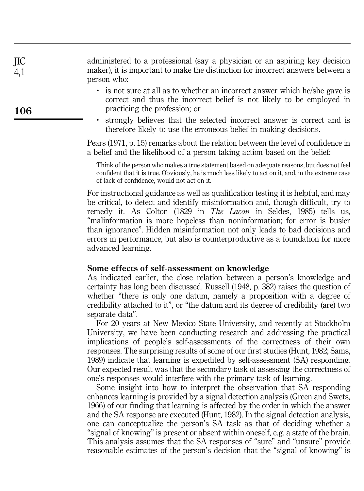| JIС | administered to a professional (say a physician or an aspiring key decision     |
|-----|---------------------------------------------------------------------------------|
| 4,1 | maker), it is important to make the distinction for incorrect answers between a |
|     | person who:                                                                     |

**106**

- . is not sure at all as to whether an incorrect answer which he/she gave is correct and thus the incorrect belief is not likely to be employed in practicing the profession; or
- . strongly believes that the selected incorrect answer is correct and is therefore likely to use the erroneous belief in making decisions.

Pears (1971, p. 15) remarks about the relation between the level of confidence in a belief and the likelihood of a person taking action based on the belief:

Think of the person who makes a true statement based on adequate reasons, but does not feel confident that it is true. Obviously, he is much less likely to act on it, and, in the extreme case of lack of confidence, would not act on it.

For instructional guidance as well as qualification testing it is helpful, and may be critical, to detect and identify misinformation and, though difficult, try to remedy it. As Colton (1829 in *The Lacon* in Seldes, 1985) tells us, ªmalinformation is more hopeless than noninformation; for error is busier than ignoranceº. Hidden misinformation not only leads to bad decisions and errors in performance, but also is counterproductive as a foundation for more advanced learning.

# **Some effects of self-assessment on knowledge**

As indicated earlier, the close relation between a person's knowledge and certainty has long been discussed. Russell (1948, p. 382) raises the question of whether "there is only one datum, namely a proposition with a degree of credibility attached to itº, or ªthe datum and its degree of credibility (are) two separate data".

For 20 years at New Mexico State University, and recently at Stockholm University, we have been conducting research and addressing the practical implications of people's self-assessments of the correctness of their own responses. The surprising results of some of our first studies (Hunt, 1982; Sams, 1989) indicate that learning is expedited by self-assessment (SA) responding. Our expected result was that the secondary task of assessing the correctness of one's responses would interfere with the primary task of learning.

Some insight into how to interpret the observation that SA responding enhances learning is provided by a signal detection analysis (Green and Swets, 1966) of our finding that learning is affected by the order in which the answer and the SA response are executed (Hunt, 1982). In the signal detection analysis, one can conceptualize the person's SA task as that of deciding whether a "signal of knowing" is present or absent within oneself, e.g. a state of the brain. This analysis assumes that the SA responses of "sure" and "unsure" provide reasonable estimates of the person's decision that the "signal of knowing" is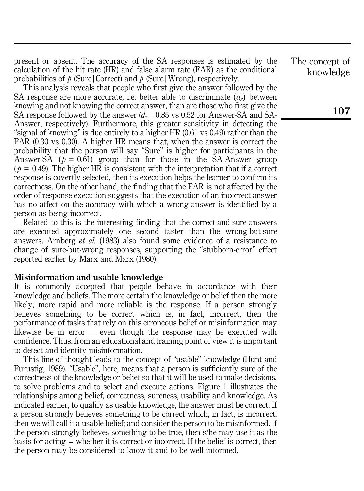present or absent. The accuracy of the SA responses is estimated by the calculation of the hit rate (HR) and false alarm rate (FAR) as the conditional probabilities of *p* (Sure|Correct) and *p* (Sure|Wrong), respectively.

This analysis reveals that people who first give the answer followed by the SA response are more accurate, i.e. better able to discriminate (*d<sup>r</sup>* ) between knowing and not knowing the correct answer, than are those who first give the SA response followed by the answer  $(d_r = 0.85 \text{ vs } 0.52 \text{ for Answer-SA and SA-}$ Answer, respectively). Furthermore, this greater sensitivity in detecting the "signal of knowing" is due entirely to a higher HR  $(0.61 \text{ vs } 0.49)$  rather than the FAR (0.30 vs 0.30). A higher HR means that, when the answer is correct the probability that the person will say ªSureº is higher for participants in the Answer-SA  $(p = 0.61)$  group than for those in the SA-Answer group  $(p = 0.49)$ . The higher HR is consistent with the interpretation that if a correct response is covertly selected, then its execution helps the learner to confirm its correctness. On the other hand, the finding that the FAR is not affected by the order of response execution suggests that the execution of an incorrect answer has no affect on the accuracy with which a wrong answer is identified by a person as being incorrect.

Related to this is the interesting finding that the correct-and-sure answers are executed approximately one second faster than the wrong-but-sure answers. Arnberg *et al.* (1983) also found some evidence of a resistance to change of sure-but-wrong responses, supporting the "stubborn-error" effect reported earlier by Marx and Marx (1980).

# **Misinformation and usable knowledge**

It is commonly accepted that people behave in accordance with their knowledge and beliefs. The more certain the knowledge or belief then the more likely, more rapid and more reliable is the response. If a person strongly believes something to be correct which is, in fact, incorrect, then the performance of tasks that rely on this erroneous belief or misinformation may likewise be in error – even though the response may be executed with confidence. Thus, from an educational and training point of view it is important to detect and identify misinformation.

This line of thought leads to the concept of "usable" knowledge (Hunt and Furustig, 1989). "Usable", here, means that a person is sufficiently sure of the correctness of the knowledge or belief so that it will be used to make decisions, to solve problems and to select and execute actions. Figure 1 illustrates the relationships among belief, correctness, sureness, usability and knowledge. As indicated earlier, to qualify as usable knowledge, the answer must be correct. If a person strongly believes something to be correct which, in fact, is incorrect, then we will call it a usable belief; and consider the person to be misinformed. If the person strongly believes something to be true, then s/he may use it as the basis for acting – whether it is correct or incorrect. If the belief is correct, then the person may be considered to know it and to be well informed.

The concept of knowledge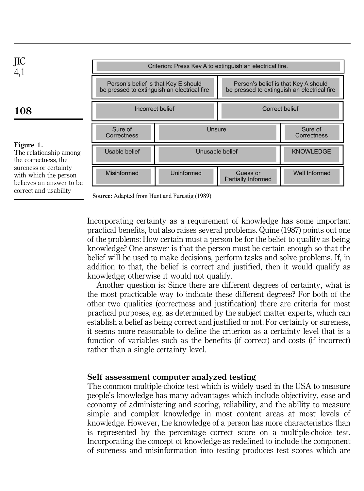

Source: Adapted from Hunt and Furustig (1989)

Incorporating certainty as a requirement of knowledge has some important practical benefits, but also raises several problems. Quine (1987) points out one of the problems: How certain must a person be for the belief to qualify as being knowledge? One answer is that the person must be certain enough so that the belief will be used to make decisions, perform tasks and solve problems. If, in addition to that, the belief is correct and justified, then it would qualify as knowledge; otherwise it would not qualify.

Another question is: Since there are different degrees of certainty, what is the most practicable way to indicate these different degrees? For both of the other two qualities (correctness and justification) there are criteria for most practical purposes, e.g. as determined by the subject matter experts, which can establish a belief as being correct and justified or not. For certainty or sureness, it seems more reasonable to define the criterion as a certainty level that is a function of variables such as the benefits (if correct) and costs (if incorrect) rather than a single certainty level.

# **Self assessment computer analyzed testing**

The common multiple-choice test which is widely used in the USA to measure people's knowledge has many advantages which include objectivity, ease and economy of administering and scoring, reliability, and the ability to measure simple and complex knowledge in most content areas at most levels of knowledge. However, the knowledge of a person has more characteristics than is represented by the percentage correct score on a multiple-choice test. Incorporating the concept of knowledge as redefined to include the component of sureness and misinformation into testing produces test scores which are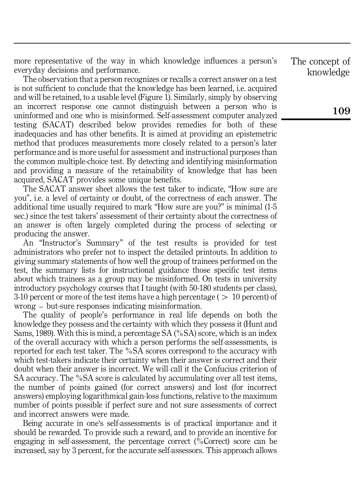more representative of the way in which knowledge influences a person's everyday decisions and performance.

The observation that a person recognizes or recalls a correct answer on a test is not sufficient to conclude that the knowledge has been learned, i.e. acquired and will be retained, to a usable level (Figure 1). Similarly, simply by observing an incorrect response one cannot distinguish between a person who is uninformed and one who is misinformed. Self-assessment computer analyzed testing (SACAT) described below provides remedies for both of these inadequacies and has other benefits. It is aimed at providing an epistemetric method that produces measurements more closely related to a person's later performance and is more useful for assessment and instructional purposes than the common multiple-choice test. By detecting and identifying misinformation and providing a measure of the retainability of knowledge that has been acquired, SACAT provides some unique benefits.

The SACAT answer sheet allows the test taker to indicate, "How sure are youº, i.e. a level of certainty or doubt, of the correctness of each answer. The additional time usually required to mark "How sure are you?" is minimal (1-5 sec.) since the test takers' assessment of their certainty about the correctness of an answer is often largely completed during the process of selecting or producing the answer.

An "Instructor's Summary" of the test results is provided for test administrators who prefer not to inspect the detailed printouts. In addition to giving summary statements of how well the group of trainees performed on the test, the summary lists for instructional guidance those specific test items about which trainees as a group may be misinformed. On tests in university introductory psychology courses that I taught (with 50-180 students per class), 3-10 percent or more of the test items have a high percentage ( $> 10$  percent) of wrong – but-sure responses indicating misinformation.

The quality of people's performance in real life depends on both the knowledge they possess and the certainty with which they possess it (Hunt and Sams, 1989). With this is mind, a percentage SA (%SA) score, which is an index of the overall accuracy with which a person performs the self-assessments, is reported for each test taker. The %SA scores correspond to the accuracy with which test-takers indicate their certainty when their answer is correct and their doubt when their answer is incorrect. We will call it the Confucius criterion of SA accuracy. The %SA score is calculated by accumulating over all test items, the number of points gained (for correct answers) and lost (for incorrect answers) employing logarithmical gain-loss functions, relative to the maximum number of points possible if perfect sure and not sure assessments of correct and incorrect answers were made.

Being accurate in one`s self-assessments is of practical importance and it should be rewarded. To provide such a reward, and to provide an incentive for engaging in self-assessment, the percentage correct (%Correct) score can be increased, say by 3 percent, for the accurate self-assessors. This approach allows The concept of knowledge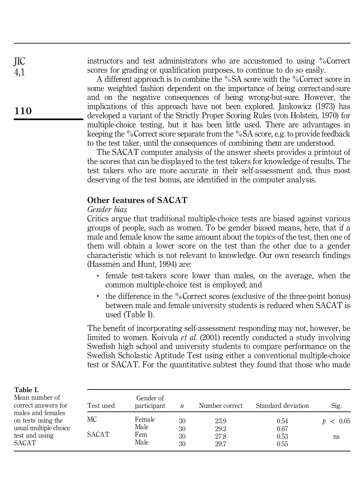instructors and test administrators who are accustomed to using %Correct scores for grading or qualification purposes, to continue to do so easily.

A different approach is to combine the %SA score with the %Correct score in some weighted fashion dependent on the importance of being correct-and-sure and on the negative consequences of being wrong-but-sure. However, the implications of this approach have not been explored. Jankowicz (1973) has developed a variant of the Strictly Proper Scoring Rules (von Holstein, 1970) for multiple-choice testing, but it has been little used. There are advantages in keeping the %Correct score separate from the %SA score, e.g. to provide feedback to the test taker, until the consequences of combining them are understood.

The SACAT computer analysis of the answer sheets provides a printout of the scores that can be displayed to the test takers for knowledge of results. The test takers who are more accurate in their self-assessment and, thus most deserving of the test bonus, are identified in the computer analysis.

# **Other features of SACAT**

# *Gender bias*

Critics argue that traditional multiple-choice tests are biased against various groups of people, such as women. To be gender biased means, here, that if a male and female know the same amount about the topics of the test, then one of them will obtain a lower score on the test than the other due to a gender characteristic which is not relevant to knowledge. Our own research findings (Hassmén and Hunt, 1994) are:

- . female test-takers score lower than males, on the average, when the common multiple-choice test is employed; and
- . the difference in the %Correct scores (exclusive of the three-point bonus) between male and female university students is reduced when SACAT is used (Table I).

The benefit of incorporating self-assessment responding may not, however, be limited to women. Koivula *et al.* (2001) recently conducted a study involving Swedish high school and university students to compare performance on the Swedish Scholastic Aptitude Test using either a conventional multiple-choice test or SACAT. For the quantitative subtest they found that those who made

| Table I.<br>Mean number of<br>correct answers for<br>males and females<br>on tests using the<br>usual multiple-choice<br>test and using | Test used          | Gender of<br>participant | $\boldsymbol{n}$ | Number correct       | Standard deviation   | Sig.         |
|-----------------------------------------------------------------------------------------------------------------------------------------|--------------------|--------------------------|------------------|----------------------|----------------------|--------------|
|                                                                                                                                         | МC<br><b>SACAT</b> | Female<br>Male<br>Fem    | 30<br>30<br>30   | 23.9<br>29.2<br>27.8 | 0.54<br>0.67<br>0.53 | < 0.05<br>ns |
| <b>SACAT</b>                                                                                                                            |                    | Male                     | 30               | 29.7                 | 0.55                 |              |

JIC 4,1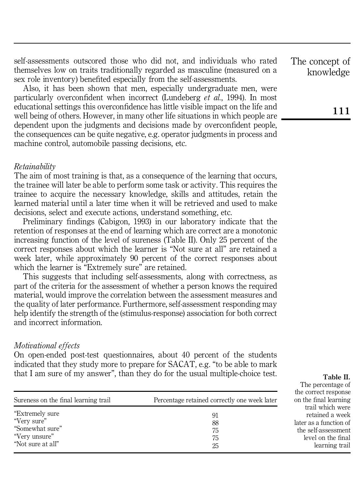self-assessments outscored those who did not, and individuals who rated themselves low on traits traditionally regarded as masculine (measured on a sex role inventory) benefited especially from the self-assessments.

Also, it has been shown that men, especially undergraduate men, were particularly overconfident when incorrect (Lundeberg *et al.*, 1994). In most educational settings this overconfidence has little visible impact on the life and well being of others. However, in many other life situations in which people are dependent upon the judgments and decisions made by overconfident people, the consequences can be quite negative, e.g. operator judgments in process and machine control, automobile passing decisions, etc.

# *Retainability*

The aim of most training is that, as a consequence of the learning that occurs, the trainee will later be able to perform some task or activity. This requires the trainee to acquire the necessary knowledge, skills and attitudes, retain the learned material until a later time when it will be retrieved and used to make decisions, select and execute actions, understand something, etc.

Preliminary findings (Cabigon, 1993) in our laboratory indicate that the retention of responses at the end of learning which are correct are a monotonic increasing function of the level of sureness (Table II). Only 25 percent of the correct responses about which the learner is "Not sure at all" are retained a week later, while approximately 90 percent of the correct responses about which the learner is "Extremely sure" are retained.

This suggests that including self-assessments, along with correctness, as part of the criteria for the assessment of whether a person knows the required material, would improve the correlation between the assessment measures and the quality of later performance. Furthermore, self-assessment responding may help identify the strength of the (stimulus-response) association for both correct and incorrect information.

# *Motivational effects*

On open-ended post-test questionnaires, about 40 percent of the students indicated that they study more to prepare for SACAT, e.g. "to be able to mark that I am sure of my answerº, than they do for the usual multiple-choice test.

| Sureness on the final learning trail | Percentage retained correctly one week later |
|--------------------------------------|----------------------------------------------|
| "Extremely sure"                     | 91                                           |
| "Very sure"                          | 88                                           |
| "Somewhat sure"                      | 75                                           |
| "Very unsure"                        | 75                                           |
| "Not sure at all"                    | 25                                           |

The concept of knowledge

**111**

### **Table II.**

The percentage of the correct response on the final learning trail which were retained a week later as a function of the self-assessment level on the final learning trail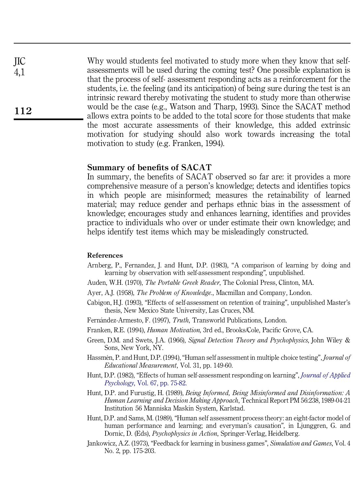Why would students feel motivated to study more when they know that selfassessments will be used during the coming test? One possible explanation is that the process of self- assessment responding acts as a reinforcement for the students, i.e. the feeling (and its anticipation) of being sure during the test is an intrinsic reward thereby motivating the student to study more than otherwise would be the case (e.g., Watson and Tharp, 1993). Since the SACAT method allows extra points to be added to the total score for those students that make the most accurate assessments of their knowledge, this added extrinsic motivation for studying should also work towards increasing the total motivation to study (e.g. Franken, 1994).

# **Summary of bene®ts of SACAT**

In summary, the benefits of SACAT observed so far are: it provides a more comprehensive measure of a person's knowledge; detects and identifies topics in which people are misinformed; measures the retainability of learned material; may reduce gender and perhaps ethnic bias in the assessment of knowledge; encourages study and enhances learning, identifies and provides practice to individuals who over or under estimate their own knowledge; and helps identify test items which may be misleadingly constructed.

#### **References**

JIC 4,1

- Arnberg, P., Fernandez, J. and Hunt, D.P. (1983), ªA comparison of learning by doing and learning by observation with self-assessment responding", unpublished.
- Auden, W.H. (1970), *The Portable Greek Reader*, The Colonial Press, Clinton, MA.
- Ayer, A.J. (1958), *The Problem of Knowledge.*, Macmillan and Company, London.
- Cabigon, H.J. (1993), ªEffects of self-assessment on retention of trainingº, unpublished Master's thesis, New Mexico State University, Las Cruces, NM.
- Fernández-Armesto, F. (1997), *Truth*, Transworld Publications, London.
- Franken, R.E. (1994), *Human Motivation*, 3rd ed., Brooks/Cole, Pacific Grove, CA.
- Green, D.M. and Swets, J.A. (1966), *Signal Detection Theory and Psychophysics*, John Wiley & Sons, New York, NY.
- Hassmen, P. and Hunt, D.P. (1994), "Human self assessment in multiple choice testing", *Journal of Educational Measurement*, Vol. 31, pp. 149-60.
- Hunt, D.P. (1982), ªEffects of human self-assessment responding on learningº, *Journal of [Applied](http://www.emeraldinsight.com/rpsv/cgi-bin/linker?ext=i&reqidx=/0021-9010^28^2967L.75[aid=1181242]) [Psychology](http://www.emeraldinsight.com/rpsv/cgi-bin/linker?ext=i&reqidx=/0021-9010^28^2967L.75[aid=1181242])*, Vol. 67, pp. 75-82.
- Hunt, D.P. and Furustig, H. (1989), *Being Informed, Being Misinformed and Disinformation: A Human Learning and Decision Making Approach*, Technical Report PM 56:238, 1989-04-21 Institution 56 Manniska Maskin System, Karlstad.
- Hunt, D.P. and Sams, M. (1989), ªHuman self assessment process theory: an eight-factor model of human performance and learning; and everyman's causation", in Ljunggren, G. and Dornic, D. (Eds), *Psychophysics in Action*, Springer-Verlag, Heidelberg.
- Jankowicz, A.Z. (1973), ªFeedback for learning in business gamesº, *Simulation and Games*, Vol. 4 No. 2, pp. 175-203.